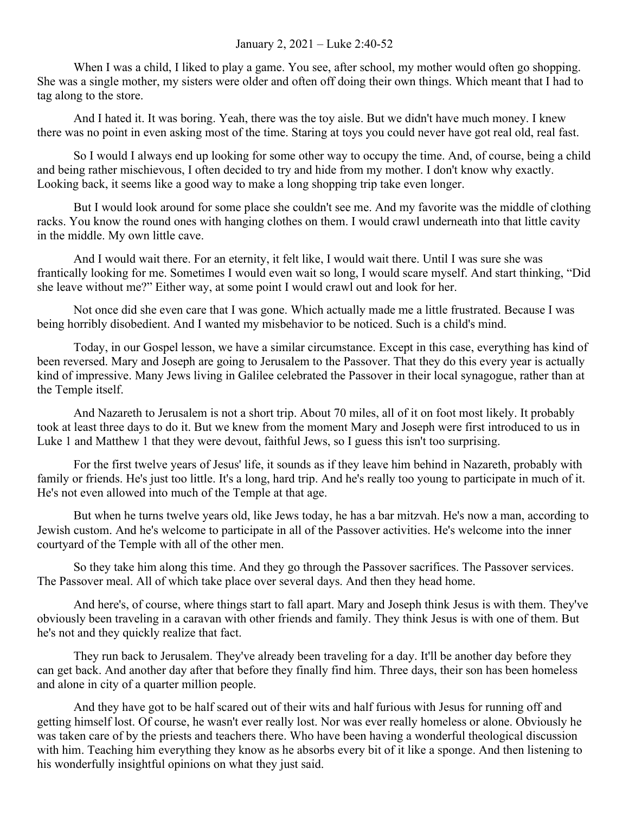## January 2, 2021 – Luke 2:40-52

When I was a child, I liked to play a game. You see, after school, my mother would often go shopping. She was a single mother, my sisters were older and often off doing their own things. Which meant that I had to tag along to the store.

And I hated it. It was boring. Yeah, there was the toy aisle. But we didn't have much money. I knew there was no point in even asking most of the time. Staring at toys you could never have got real old, real fast.

So I would I always end up looking for some other way to occupy the time. And, of course, being a child and being rather mischievous, I often decided to try and hide from my mother. I don't know why exactly. Looking back, it seems like a good way to make a long shopping trip take even longer.

But I would look around for some place she couldn't see me. And my favorite was the middle of clothing racks. You know the round ones with hanging clothes on them. I would crawl underneath into that little cavity in the middle. My own little cave.

And I would wait there. For an eternity, it felt like, I would wait there. Until I was sure she was frantically looking for me. Sometimes I would even wait so long, I would scare myself. And start thinking, "Did she leave without me?" Either way, at some point I would crawl out and look for her.

Not once did she even care that I was gone. Which actually made me a little frustrated. Because I was being horribly disobedient. And I wanted my misbehavior to be noticed. Such is a child's mind.

Today, in our Gospel lesson, we have a similar circumstance. Except in this case, everything has kind of been reversed. Mary and Joseph are going to Jerusalem to the Passover. That they do this every year is actually kind of impressive. Many Jews living in Galilee celebrated the Passover in their local synagogue, rather than at the Temple itself.

And Nazareth to Jerusalem is not a short trip. About 70 miles, all of it on foot most likely. It probably took at least three days to do it. But we knew from the moment Mary and Joseph were first introduced to us in Luke 1 and Matthew 1 that they were devout, faithful Jews, so I guess this isn't too surprising.

For the first twelve years of Jesus' life, it sounds as if they leave him behind in Nazareth, probably with family or friends. He's just too little. It's a long, hard trip. And he's really too young to participate in much of it. He's not even allowed into much of the Temple at that age.

But when he turns twelve years old, like Jews today, he has a bar mitzvah. He's now a man, according to Jewish custom. And he's welcome to participate in all of the Passover activities. He's welcome into the inner courtyard of the Temple with all of the other men.

So they take him along this time. And they go through the Passover sacrifices. The Passover services. The Passover meal. All of which take place over several days. And then they head home.

And here's, of course, where things start to fall apart. Mary and Joseph think Jesus is with them. They've obviously been traveling in a caravan with other friends and family. They think Jesus is with one of them. But he's not and they quickly realize that fact.

They run back to Jerusalem. They've already been traveling for a day. It'll be another day before they can get back. And another day after that before they finally find him. Three days, their son has been homeless and alone in city of a quarter million people.

And they have got to be half scared out of their wits and half furious with Jesus for running off and getting himself lost. Of course, he wasn't ever really lost. Nor was ever really homeless or alone. Obviously he was taken care of by the priests and teachers there. Who have been having a wonderful theological discussion with him. Teaching him everything they know as he absorbs every bit of it like a sponge. And then listening to his wonderfully insightful opinions on what they just said.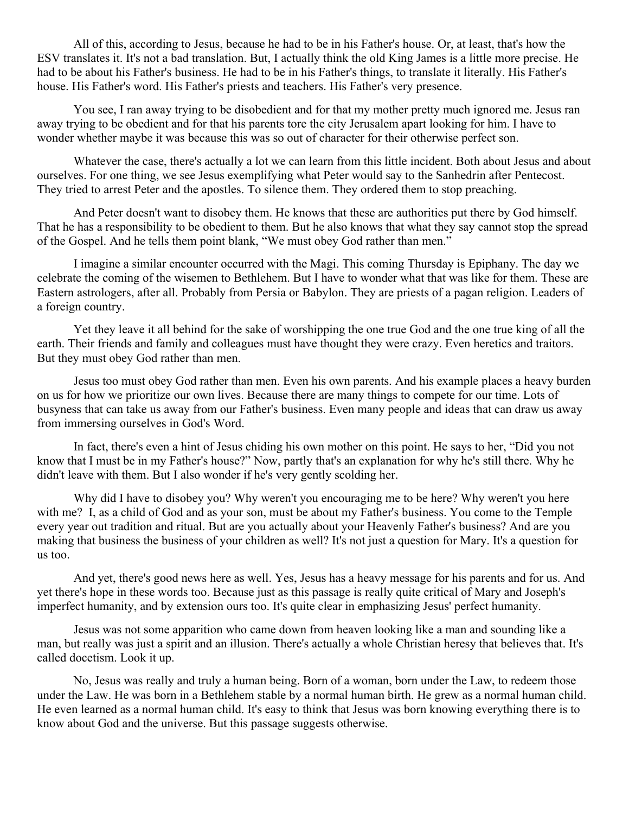All of this, according to Jesus, because he had to be in his Father's house. Or, at least, that's how the ESV translates it. It's not a bad translation. But, I actually think the old King James is a little more precise. He had to be about his Father's business. He had to be in his Father's things, to translate it literally. His Father's house. His Father's word. His Father's priests and teachers. His Father's very presence.

You see, I ran away trying to be disobedient and for that my mother pretty much ignored me. Jesus ran away trying to be obedient and for that his parents tore the city Jerusalem apart looking for him. I have to wonder whether maybe it was because this was so out of character for their otherwise perfect son.

Whatever the case, there's actually a lot we can learn from this little incident. Both about Jesus and about ourselves. For one thing, we see Jesus exemplifying what Peter would say to the Sanhedrin after Pentecost. They tried to arrest Peter and the apostles. To silence them. They ordered them to stop preaching.

And Peter doesn't want to disobey them. He knows that these are authorities put there by God himself. That he has a responsibility to be obedient to them. But he also knows that what they say cannot stop the spread of the Gospel. And he tells them point blank, "We must obey God rather than men."

I imagine a similar encounter occurred with the Magi. This coming Thursday is Epiphany. The day we celebrate the coming of the wisemen to Bethlehem. But I have to wonder what that was like for them. These are Eastern astrologers, after all. Probably from Persia or Babylon. They are priests of a pagan religion. Leaders of a foreign country.

Yet they leave it all behind for the sake of worshipping the one true God and the one true king of all the earth. Their friends and family and colleagues must have thought they were crazy. Even heretics and traitors. But they must obey God rather than men.

Jesus too must obey God rather than men. Even his own parents. And his example places a heavy burden on us for how we prioritize our own lives. Because there are many things to compete for our time. Lots of busyness that can take us away from our Father's business. Even many people and ideas that can draw us away from immersing ourselves in God's Word.

In fact, there's even a hint of Jesus chiding his own mother on this point. He says to her, "Did you not know that I must be in my Father's house?" Now, partly that's an explanation for why he's still there. Why he didn't leave with them. But I also wonder if he's very gently scolding her.

Why did I have to disobey you? Why weren't you encouraging me to be here? Why weren't you here with me? I, as a child of God and as your son, must be about my Father's business. You come to the Temple every year out tradition and ritual. But are you actually about your Heavenly Father's business? And are you making that business the business of your children as well? It's not just a question for Mary. It's a question for us too.

And yet, there's good news here as well. Yes, Jesus has a heavy message for his parents and for us. And yet there's hope in these words too. Because just as this passage is really quite critical of Mary and Joseph's imperfect humanity, and by extension ours too. It's quite clear in emphasizing Jesus' perfect humanity.

Jesus was not some apparition who came down from heaven looking like a man and sounding like a man, but really was just a spirit and an illusion. There's actually a whole Christian heresy that believes that. It's called docetism. Look it up.

No, Jesus was really and truly a human being. Born of a woman, born under the Law, to redeem those under the Law. He was born in a Bethlehem stable by a normal human birth. He grew as a normal human child. He even learned as a normal human child. It's easy to think that Jesus was born knowing everything there is to know about God and the universe. But this passage suggests otherwise.